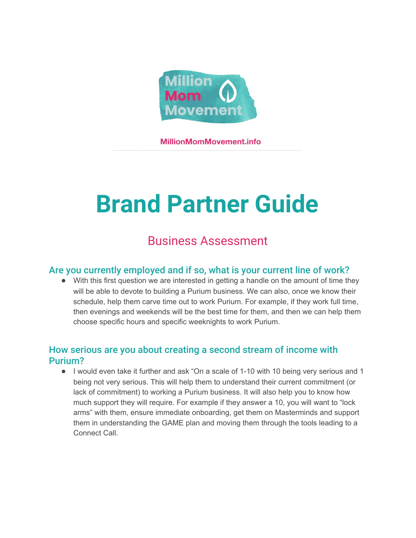

**MillionMomMovement.info** 

# **Brand Partner Guide**

# Business Assessment

#### Are you currently employed and if so, what is your current line of work?

• With this first question we are interested in getting a handle on the amount of time they will be able to devote to building a Purium business. We can also, once we know their schedule, help them carve time out to work Purium. For example, if they work full time, then evenings and weekends will be the best time for them, and then we can help them choose specific hours and specific weeknights to work Purium.

## How serious are you about creating a second stream of income with Purium?

● I would even take it further and ask "On a scale of 1-10 with 10 being very serious and 1 being not very serious. This will help them to understand their current commitment (or lack of commitment) to working a Purium business. It will also help you to know how much support they will require. For example if they answer a 10, you will want to "lock arms" with them, ensure immediate onboarding, get them on Masterminds and support them in understanding the GAME plan and moving them through the tools leading to a Connect Call.